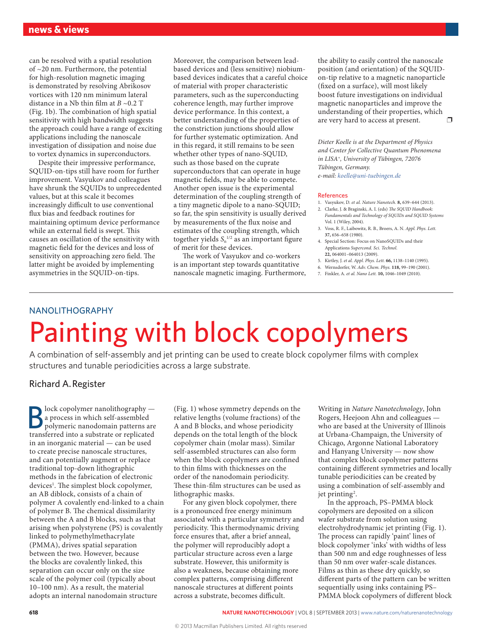can be resolved with a spatial resolution of ~20 nm. Furthermore, the potential for high-resolution magnetic imaging is demonstrated by resolving Abrikosov vortices with 120 nm minimum lateral distance in a Nb thin film at  $B \sim 0.2$  T (Fig. 1b). The combination of high spatial sensitivity with high bandwidth suggests the approach could have a range of exciting applications including the nanoscale investigation of dissipation and noise due to vortex dynamics in superconductors.

Despite their impressive performance, SQUID-on-tips still have room for further improvement. Vasyukov and colleagues have shrunk the SQUIDs to unprecedented values, but at this scale it becomes increasingly difficult to use conventional flux bias and feedback routines for maintaining optimum device performance while an external field is swept. This causes an oscillation of the sensitivity with magnetic field for the devices and loss of sensitivity on approaching zero field. The latter might be avoided by implementing asymmetries in the SQUID-on-tips.

Moreover, the comparison between leadbased devices and (less sensitive) niobiumbased devices indicates that a careful choice of material with proper characteristic parameters, such as the superconducting coherence length, may further improve device performance. In this context, a better understanding of the properties of the constriction junctions should allow for further systematic optimization. And in this regard, it still remains to be seen whether other types of nano-SQUID, such as those based on the cuprate superconductors that can operate in huge magnetic fields, may be able to compete. Another open issue is the experimental determination of the coupling strength of a tiny magnetic dipole to a nano-SQUID; so far, the spin sensitivity is usually derived by measurements of the flux noise and estimates of the coupling strength, which together yields  $S_n^{\ 1/2}$  as an important figure of merit for these devices.

The work of Vasyukov and co-workers is an important step towards quantitative nanoscale magnetic imaging. Furthermore,

the ability to easily control the nanoscale position (and orientation) of the SQUIDon-tip relative to a magnetic nanoparticle (fixed on a surface), will most likely boost future investigations on individual magnetic nanoparticles and improve the understanding of their properties, which are very hard to access at present.  $\Box$ 

*Dieter Koelle is at the Department of Physics and Center for Collective Quantum Phenomena in LISA+, University of Tübingen, 72076 Tübingen, Germany. e-mail: koelle@uni-tuebingen.de*

## References

- 1. Vasyukov, D. *et al. Nature Nanotech.* **8,** 639–644 (2013). 2. Clarke, J. & Braginski, A. I. (eds) *The SQUID Handbook:*
- *Fundamentals and Technology of SQUIDs and SQUID Systems* Vol. 1 (Wiley, 2004).
- 3. Voss, R. F., Laibowitz, R. B., Broers, A. N. *Appl. Phys. Lett.* **37,** 656–658 (1980).
- 4. Special Section: Focus on NanoSQUIDs and their Applications *Supercond. Sci. Technol.* **22,** 064001–064013 (2009).
- 5. Kirtley, J. *et al. Appl. Phys. Lett.* **66,** 1138–1140 (1995).
- 6. Wernsdorfer, W. *Adv. Chem. Phys.* **118,** 99–190 (2001).
- 7. Finkler, A. *et al. Nano Lett.* **10,** 1046–1049 (2010).

## NANOLITHOGRAPHY Painting with block copolymers

A combination of self-assembly and jet printing can be used to create block copolymer films with complex structures and tunable periodicities across a large substrate.

## Richard A. Register

 $\bigcap$  lock copolymer nanolithography  $$ a process in which self-assembled polymeric nanodomain patterns are transferred into a substrate or replicated in an inorganic material — can be used to create precise nanoscale structures, and can potentially augment or replace traditional top-down lithographic methods in the fabrication of electronic devices<sup>1</sup>. The simplest block copolymer, an AB diblock, consists of a chain of polymer A covalently end-linked to a chain of polymer B. The chemical dissimilarity between the A and B blocks, such as that arising when polystyrene (PS) is covalently linked to polymethylmethacrylate (PMMA), drives spatial separation between the two. However, because the blocks are covalently linked, this separation can occur only on the size scale of the polymer coil (typically about 10–100 nm). As a result, the material adopts an internal nanodomain structure

(Fig. 1) whose symmetry depends on the relative lengths (volume fractions) of the A and B blocks, and whose periodicity depends on the total length of the block copolymer chain (molar mass). Similar self-assembled structures can also form when the block copolymers are confined to thin films with thicknesses on the order of the nanodomain periodicity. These thin-film structures can be used as lithographic masks.

For any given block copolymer, there is a pronounced free energy minimum associated with a particular symmetry and periodicity. This thermodynamic driving force ensures that, after a brief anneal, the polymer will reproducibly adopt a particular structure across even a large substrate. However, this uniformity is also a weakness, because obtaining more complex patterns, comprising different nanoscale structures at different points across a substrate, becomes difficult.

Writing in *Nature Nanotechnology*, John Rogers, Heejoon Ahn and colleagues who are based at the University of Illinois at Urbana-Champaign, the University of Chicago, Argonne National Laboratory and Hanyang University — now show that complex block copolymer patterns containing different symmetries and locally tunable periodicities can be created by using a combination of self-assembly and jet printing<sup>2</sup>.

In the approach, PS–PMMA block copolymers are deposited on a silicon wafer substrate from solution using electrohydrodynamic jet printing (Fig. 1). The process can rapidly 'paint' lines of block copolymer 'inks' with widths of less than 500 nm and edge roughnesses of less than 50 nm over wafer-scale distances. Films as thin as these dry quickly, so different parts of the pattern can be written sequentially using inks containing PS– PMMA block copolymers of different block